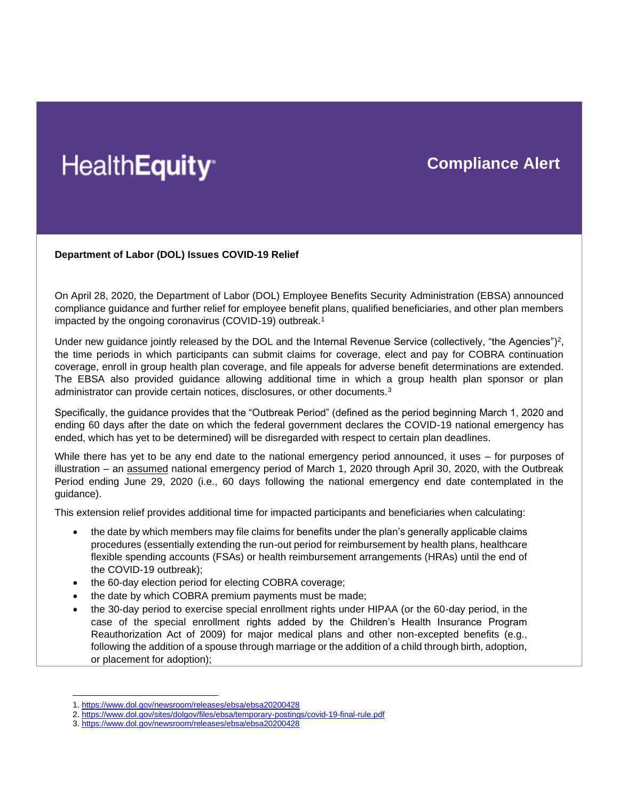## Health**Equity**<sup>®</sup>

## **Compliance Alert**

## **Department of Labor (DOL) Issues COVID-19 Relief**

On April 28, 2020, the Department of Labor (DOL) Employee Benefits Security Administration (EBSA) announced compliance guidance and further relief for employee benefit plans, qualified beneficiaries, and other plan members impacted by the ongoing coronavirus (COVID-19) outbreak.<sup>1</sup>

Under new guidance jointly released by the DOL and the Internal Revenue Service (collectively, "the Agencies")<sup>2</sup>, the time periods in which participants can submit claims for coverage, elect and pay for COBRA continuation coverage, enroll in group health plan coverage, and file appeals for adverse benefit determinations are extended. The EBSA also provided guidance allowing additional time in which a group health plan sponsor or plan administrator can provide certain notices, disclosures, or other documents.<sup>3</sup>

Specifically, the guidance provides that the "Outbreak Period" (defined as the period beginning March 1, 2020 and ending 60 days after the date on which the federal government declares the COVID-19 national emergency has ended, which has yet to be determined) will be disregarded with respect to certain plan deadlines.

While there has yet to be any end date to the national emergency period announced, it uses – for purposes of illustration – an assumed national emergency period of March 1, 2020 through April 30, 2020, with the Outbreak Period ending June 29, 2020 (i.e., 60 days following the national emergency end date contemplated in the guidance).

This extension relief provides additional time for impacted participants and beneficiaries when calculating:

- the date by which members may file claims for benefits under the plan's generally applicable claims procedures (essentially extending the run-out period for reimbursement by health plans, healthcare flexible spending accounts (FSAs) or health reimbursement arrangements (HRAs) until the end of the COVID-19 outbreak);
- the 60-day election period for electing COBRA coverage;
- the date by which COBRA premium payments must be made;
- the 30-day period to exercise special enrollment rights under HIPAA (or the 60-day period, in the case of the special enrollment rights added by the Children's Health Insurance Program Reauthorization Act of 2009) for major medical plans and other non-excepted benefits (e.g., following the addition of a spouse through marriage or the addition of a child through birth, adoption, or placement for adoption);

<sup>1.</sup><https://www.dol.gov/newsroom/releases/ebsa/ebsa20200428>

<sup>2.</sup><https://www.dol.gov/sites/dolgov/files/ebsa/temporary-postings/covid-19-final-rule.pdf>

<sup>3.</sup><https://www.dol.gov/newsroom/releases/ebsa/ebsa20200428>